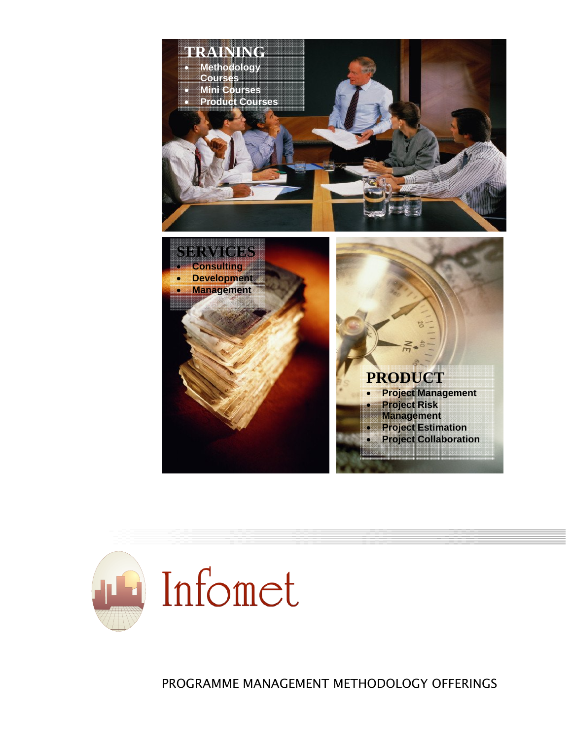



PROGRAMME MANAGEMENT METHODOLOGY OFFERINGS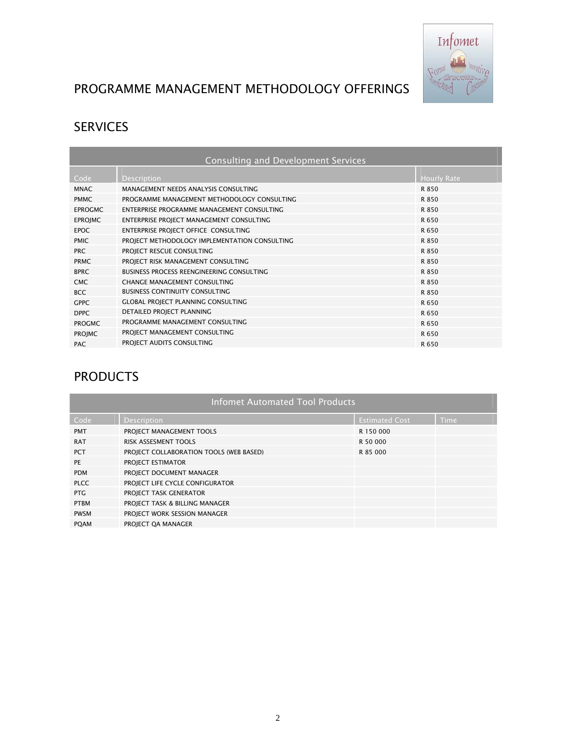

## PROGRAMME MANAGEMENT METHODOLOGY OFFERINGS

# SERVICES

| Consulting and Development Services |                                               |                    |  |  |  |
|-------------------------------------|-----------------------------------------------|--------------------|--|--|--|
| Code                                | <b>Description</b>                            | <b>Hourly Rate</b> |  |  |  |
| <b>MNAC</b>                         | MANAGEMENT NEEDS ANALYSIS CONSULTING          | R 850              |  |  |  |
| <b>PMMC</b>                         | PROGRAMME MANAGEMENT METHODOLOGY CONSULTING   | R 850              |  |  |  |
| <b>EPROGMC</b>                      | ENTERPRISE PROGRAMME MANAGEMENT CONSULTING    | R 850              |  |  |  |
| <b>EPROJMC</b>                      | ENTERPRISE PROJECT MANAGEMENT CONSULTING      | R 650              |  |  |  |
| <b>EPOC</b>                         | ENTERPRISE PROJECT OFFICE CONSULTING          | R 650              |  |  |  |
| <b>PMIC</b>                         | PROJECT METHODOLOGY IMPLEMENTATION CONSULTING | R 850              |  |  |  |
| <b>PRC</b>                          | PROJECT RESCUE CONSULTING                     | R 850              |  |  |  |
| <b>PRMC</b>                         | PROJECT RISK MANAGEMENT CONSULTING            | R 850              |  |  |  |
| <b>BPRC</b>                         | BUSINESS PROCESS REENGINEERING CONSULTING     | R 850              |  |  |  |
| <b>CMC</b>                          | CHANGE MANAGEMENT CONSULTING                  | R 850              |  |  |  |
| <b>BCC</b>                          | <b>BUSINESS CONTINUITY CONSULTING</b>         | R 850              |  |  |  |
| <b>GPPC</b>                         | <b>GLOBAL PROJECT PLANNING CONSULTING</b>     | R 650              |  |  |  |
| <b>DPPC</b>                         | DETAILED PROJECT PLANNING                     | R 650              |  |  |  |
| <b>PROGMC</b>                       | PROGRAMME MANAGEMENT CONSULTING               | R 650              |  |  |  |
| <b>PROJMC</b>                       | PROJECT MANAGEMENT CONSULTING                 | R 650              |  |  |  |
| <b>PAC</b>                          | PROJECT AUDITS CONSULTING                     | R 650              |  |  |  |

## PRODUCTS

| <b>Infomet Automated Tool Products</b> |                                         |                       |      |  |  |
|----------------------------------------|-----------------------------------------|-----------------------|------|--|--|
| Code                                   | <b>Description</b>                      | <b>Estimated Cost</b> | Time |  |  |
| <b>PMT</b>                             | PROJECT MANAGEMENT TOOLS                | R 150 000             |      |  |  |
| <b>RAT</b>                             | <b>RISK ASSESMENT TOOLS</b>             | R 50 000              |      |  |  |
| <b>PCT</b>                             | PROJECT COLLABORATION TOOLS (WEB BASED) | R 85 000              |      |  |  |
| PE                                     | PROJECT ESTIMATOR                       |                       |      |  |  |
| <b>PDM</b>                             | PROJECT DOCUMENT MANAGER                |                       |      |  |  |
| <b>PLCC</b>                            | PROJECT LIFE CYCLE CONFIGURATOR         |                       |      |  |  |
| PTG                                    | PROJECT TASK GENERATOR                  |                       |      |  |  |
| <b>PTBM</b>                            | PROJECT TASK & BILLING MANAGER          |                       |      |  |  |
| <b>PWSM</b>                            | PROJECT WORK SESSION MANAGER            |                       |      |  |  |
| <b>PQAM</b>                            | PROJECT QA MANAGER                      |                       |      |  |  |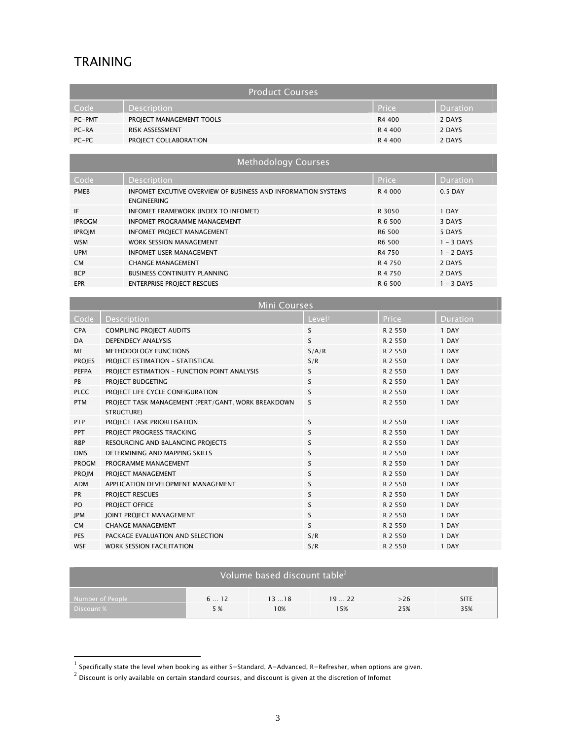### TRAINING

l

| <b>Product Courses</b>                                                   |                          |         |                 |  |  |
|--------------------------------------------------------------------------|--------------------------|---------|-----------------|--|--|
| Code                                                                     | Description              | Price   | <b>Duration</b> |  |  |
| PC-PMT                                                                   | PROJECT MANAGEMENT TOOLS | R4 400  | 2 DAYS          |  |  |
| $PC-RA$                                                                  | <b>RISK ASSESSMENT</b>   | R 4 400 | 2 DAYS          |  |  |
| $PC-PC$                                                                  | PROJECT COLLABORATION    | R 4 400 | 2 DAYS          |  |  |
|                                                                          |                          |         |                 |  |  |
| <b>Mathematical contracts</b> $\mathcal{L}$ is a second of $\mathcal{L}$ |                          |         |                 |  |  |

| <b>INCLITUATION COMPTS</b> |                                                                                     |         |              |  |  |
|----------------------------|-------------------------------------------------------------------------------------|---------|--------------|--|--|
| Code                       | <b>Description</b>                                                                  | Price   | Duration     |  |  |
| <b>PMEB</b>                | INFOMET EXCUTIVE OVERVIEW OF BUSINESS AND INFORMATION SYSTEMS<br><b>ENGINEERING</b> | R 4 000 | 0.5 DAY      |  |  |
| IF                         | INFOMET FRAMEWORK (INDEX TO INFOMET)                                                | R 3050  | 1 DAY        |  |  |
| <b>IPROGM</b>              | <b>INFOMET PROGRAMME MANAGEMENT</b>                                                 | R 6 500 | 3 DAYS       |  |  |
| <b>IPROIM</b>              | <b>INFOMET PROJECT MANAGEMENT</b>                                                   | R6 500  | 5 DAYS       |  |  |
| <b>WSM</b>                 | <b>WORK SESSION MANAGEMENT</b>                                                      | R6 500  | $1 - 3$ DAYS |  |  |
| <b>UPM</b>                 | <b>INFOMET USER MANAGEMENT</b>                                                      | R4 750  | $1 - 2$ DAYS |  |  |
| <b>CM</b>                  | <b>CHANGE MANAGEMENT</b>                                                            | R 4 750 | 2 DAYS       |  |  |
| <b>BCP</b>                 | <b>BUSINESS CONTINUITY PLANNING</b>                                                 | R 4 750 | 2 DAYS       |  |  |
| <b>EPR</b>                 | <b>ENTERPRISE PROJECT RESCUES</b>                                                   | R 6 500 | $1 - 3$ DAYS |  |  |

|               | <b>Mini Courses</b>                                                     |                    |              |          |  |  |  |
|---------------|-------------------------------------------------------------------------|--------------------|--------------|----------|--|--|--|
| Code          | <b>Description</b>                                                      | Level <sup>1</sup> | <b>Price</b> | Duration |  |  |  |
| <b>CPA</b>    | <b>COMPILING PROJECT AUDITS</b>                                         | S                  | R 2 5 5 0    | 1 DAY    |  |  |  |
| <b>DA</b>     | <b>DEPENDECY ANALYSIS</b>                                               | S                  | R 2 5 5 0    | 1 DAY    |  |  |  |
| <b>MF</b>     | METHODOLOGY FUNCTIONS                                                   | S/A/R              | R 2 5 5 0    | 1 DAY    |  |  |  |
| <b>PROJES</b> | PROJECT ESTIMATION - STATISTICAL                                        | S/R                | R 2 550      | 1 DAY    |  |  |  |
| <b>PEFPA</b>  | PROJECT ESTIMATION - FUNCTION POINT ANALYSIS                            | S                  | R 2 550      | 1 DAY    |  |  |  |
| <b>PB</b>     | PROIECT BUDGETING                                                       | <sub>S</sub>       | R 2 550      | 1 DAY    |  |  |  |
| <b>PLCC</b>   | PROJECT LIFE CYCLE CONFIGURATION                                        | S                  | R 2 550      | 1 DAY    |  |  |  |
| <b>PTM</b>    | PROJECT TASK MANAGEMENT (PERT/GANT, WORK BREAKDOWN<br><b>STRUCTURE)</b> | S                  | R 2 550      | 1 DAY    |  |  |  |
| <b>PTP</b>    | PROJECT TASK PRIORITISATION                                             | S                  | R 2 5 5 0    | 1 DAY    |  |  |  |
| <b>PPT</b>    | PROJECT PROGRESS TRACKING                                               | S                  | R 2 550      | 1 DAY    |  |  |  |
| <b>RBP</b>    | RESOURCING AND BALANCING PROJECTS                                       | S                  | R 2 5 5 0    | 1 DAY    |  |  |  |
| <b>DMS</b>    | DETERMINING AND MAPPING SKILLS                                          | S                  | R 2 550      | 1 DAY    |  |  |  |
| <b>PROGM</b>  | PROGRAMME MANAGEMENT                                                    | S                  | R 2 550      | 1 DAY    |  |  |  |
| PROJM         | PROJECT MANAGEMENT                                                      | S                  | R 2 5 5 0    | 1 DAY    |  |  |  |
| <b>ADM</b>    | APPLICATION DEVELOPMENT MANAGEMENT                                      | S                  | R 2 550      | 1 DAY    |  |  |  |
| <b>PR</b>     | PROJECT RESCUES                                                         | S                  | R 2 5 5 0    | 1 DAY    |  |  |  |
| PO.           | PROJECT OFFICE                                                          | S                  | R 2 550      | 1 DAY    |  |  |  |
| JPM           | JOINT PROJECT MANAGEMENT                                                | S                  | R 2 5 5 0    | 1 DAY    |  |  |  |
| <b>CM</b>     | <b>CHANGE MANAGEMENT</b>                                                | S                  | R 2 5 5 0    | 1 DAY    |  |  |  |
| PES           | PACKAGE EVALUATION AND SELECTION                                        | S/R                | R 2 5 5 0    | 1 DAY    |  |  |  |
| <b>WSF</b>    | <b>WORK SESSION FACILITATION</b>                                        | S/R                | R 2 550      | 1 DAY    |  |  |  |

| Volume based discount table $2$ |     |      |      |     |             |  |
|---------------------------------|-----|------|------|-----|-------------|--|
| Number of People                | 612 | 1318 | 1922 | >26 | <b>SITE</b> |  |
| Discount %                      | 5 % | 10%  | 15%  | 25% | 35%         |  |

 $^1$  Specifically state the level when booking as either S=Standard, A=Advanced, R=Refresher, when options are given.

<sup>2</sup> Discount is only available on certain standard courses, and discount is given at the discretion of Infomet